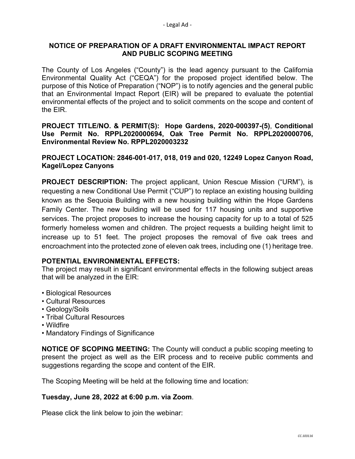# **NOTICE OF PREPARATION OF A DRAFT ENVIRONMENTAL IMPACT REPORT AND PUBLIC SCOPING MEETING**

The County of Los Angeles ("County") is the lead agency pursuant to the California Environmental Quality Act ("CEQA") for the proposed project identified below. The purpose of this Notice of Preparation ("NOP") is to notify agencies and the general public that an Environmental Impact Report (EIR) will be prepared to evaluate the potential environmental effects of the project and to solicit comments on the scope and content of the EIR.

### **PROJECT TITLE/NO. & PERMIT(S): Hope Gardens, 2020-000397-(5)**, **Conditional Use Permit No. RPPL2020000694, Oak Tree Permit No. RPPL2020000706, Environmental Review No. RPPL2020003232**

### **PROJECT LOCATION: 2846-001-017, 018, 019 and 020, 12249 Lopez Canyon Road, Kagel/Lopez Canyons**

**PROJECT DESCRIPTION:** The project applicant, Union Rescue Mission ("URM"), is requesting a new Conditional Use Permit ("CUP") to replace an existing housing building known as the Sequoia Building with a new housing building within the Hope Gardens Family Center. The new building will be used for 117 housing units and supportive services. The project proposes to increase the housing capacity for up to a total of 525 formerly homeless women and children. The project requests a building height limit to increase up to 51 feet. The project proposes the removal of five oak trees and encroachment into the protected zone of eleven oak trees, including one (1) heritage tree.

# **POTENTIAL ENVIRONMENTAL EFFECTS:**

The project may result in significant environmental effects in the following subject areas that will be analyzed in the EIR:

- Biological Resources
- Cultural Resources
- Geology/Soils
- Tribal Cultural Resources
- Wildfire
- Mandatory Findings of Significance

**NOTICE OF SCOPING MEETING:** The County will conduct a public scoping meeting to present the project as well as the EIR process and to receive public comments and suggestions regarding the scope and content of the EIR.

The Scoping Meeting will be held at the following time and location:

# **Tuesday, June 28, 2022 at 6:00 p.m. via Zoom**.

Please click the link below to join the webinar: